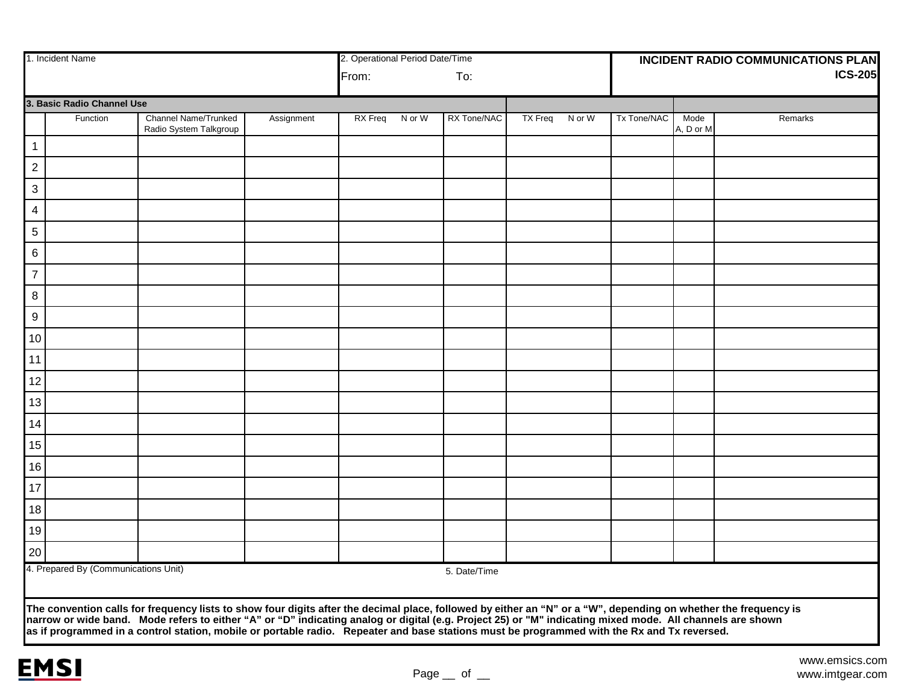|                            | 1. Incident Name                                                                                                                                                                                                               |                                                | 2. Operational Period Date/Time |         |        |              |                | <b>INCIDENT RADIO COMMUNICATIONS PLAN</b> |             |                   |                |  |
|----------------------------|--------------------------------------------------------------------------------------------------------------------------------------------------------------------------------------------------------------------------------|------------------------------------------------|---------------------------------|---------|--------|--------------|----------------|-------------------------------------------|-------------|-------------------|----------------|--|
|                            |                                                                                                                                                                                                                                |                                                |                                 | From:   |        | To:          |                |                                           |             |                   | <b>ICS-205</b> |  |
| 3. Basic Radio Channel Use |                                                                                                                                                                                                                                |                                                |                                 |         |        |              |                |                                           |             |                   |                |  |
|                            | Function                                                                                                                                                                                                                       | Channel Name/Trunked<br>Radio System Talkgroup | Assignment                      | RX Freq | N or W | RX Tone/NAC  | <b>TX Freq</b> | N or W                                    | Tx Tone/NAC | Mode<br>A, D or M | Remarks        |  |
| $\mathbf{1}$               |                                                                                                                                                                                                                                |                                                |                                 |         |        |              |                |                                           |             |                   |                |  |
| $\sqrt{2}$                 |                                                                                                                                                                                                                                |                                                |                                 |         |        |              |                |                                           |             |                   |                |  |
| $\ensuremath{\mathsf{3}}$  |                                                                                                                                                                                                                                |                                                |                                 |         |        |              |                |                                           |             |                   |                |  |
| $\overline{\mathbf{4}}$    |                                                                                                                                                                                                                                |                                                |                                 |         |        |              |                |                                           |             |                   |                |  |
| $\overline{5}$             |                                                                                                                                                                                                                                |                                                |                                 |         |        |              |                |                                           |             |                   |                |  |
| $\,6$                      |                                                                                                                                                                                                                                |                                                |                                 |         |        |              |                |                                           |             |                   |                |  |
| $\overline{7}$             |                                                                                                                                                                                                                                |                                                |                                 |         |        |              |                |                                           |             |                   |                |  |
| $\bf 8$                    |                                                                                                                                                                                                                                |                                                |                                 |         |        |              |                |                                           |             |                   |                |  |
| $\boldsymbol{9}$           |                                                                                                                                                                                                                                |                                                |                                 |         |        |              |                |                                           |             |                   |                |  |
| 10                         |                                                                                                                                                                                                                                |                                                |                                 |         |        |              |                |                                           |             |                   |                |  |
| 11                         |                                                                                                                                                                                                                                |                                                |                                 |         |        |              |                |                                           |             |                   |                |  |
| 12                         |                                                                                                                                                                                                                                |                                                |                                 |         |        |              |                |                                           |             |                   |                |  |
| 13                         |                                                                                                                                                                                                                                |                                                |                                 |         |        |              |                |                                           |             |                   |                |  |
| 14                         |                                                                                                                                                                                                                                |                                                |                                 |         |        |              |                |                                           |             |                   |                |  |
| 15                         |                                                                                                                                                                                                                                |                                                |                                 |         |        |              |                |                                           |             |                   |                |  |
| 16                         |                                                                                                                                                                                                                                |                                                |                                 |         |        |              |                |                                           |             |                   |                |  |
| 17                         |                                                                                                                                                                                                                                |                                                |                                 |         |        |              |                |                                           |             |                   |                |  |
| 18                         |                                                                                                                                                                                                                                |                                                |                                 |         |        |              |                |                                           |             |                   |                |  |
| 19                         |                                                                                                                                                                                                                                |                                                |                                 |         |        |              |                |                                           |             |                   |                |  |
| 20                         |                                                                                                                                                                                                                                |                                                |                                 |         |        |              |                |                                           |             |                   |                |  |
|                            | 4. Prepared By (Communications Unit)                                                                                                                                                                                           |                                                |                                 |         |        | 5. Date/Time |                |                                           |             |                   |                |  |
|                            |                                                                                                                                                                                                                                |                                                |                                 |         |        |              |                |                                           |             |                   |                |  |
|                            | The convention calls for frequency lists to show four digits after the decimal place, followed by either an "N" or a "W", depending on whether the frequency is narrow or wide band. Mode refers to either "A" or "D" indicati |                                                |                                 |         |        |              |                |                                           |             |                   |                |  |